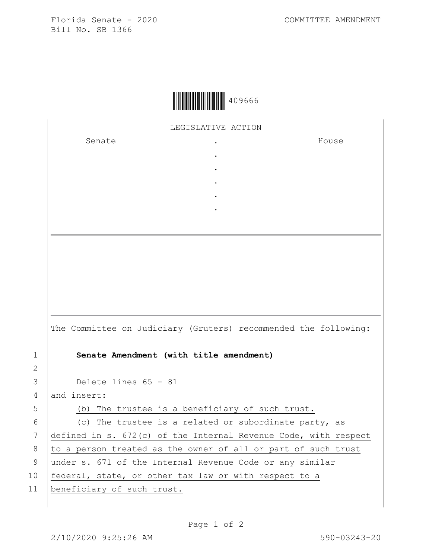Florida Senate - 2020 COMMITTEE AMENDMENT Bill No. SB 1366

|--|--|

LEGISLATIVE ACTION

. . . . .

Senate .

House

|                | The Committee on Judiciary (Gruters) recommended the following:   |
|----------------|-------------------------------------------------------------------|
| $\mathbf 1$    | Senate Amendment (with title amendment)                           |
| $\overline{2}$ |                                                                   |
| 3              | Delete lines $65 - 81$                                            |
| 4              | and insert:                                                       |
| 5              | (b) The trustee is a beneficiary of such trust.                   |
| 6              | (c) The trustee is a related or subordinate party, as             |
| 7              | defined in s. $672(c)$ of the Internal Revenue Code, with respect |
| 8              | to a person treated as the owner of all or part of such trust     |
| 9              | under s. 671 of the Internal Revenue Code or any similar          |
| 10             | federal, state, or other tax law or with respect to a             |
|                |                                                                   |

11 | beneficiary of such trust.